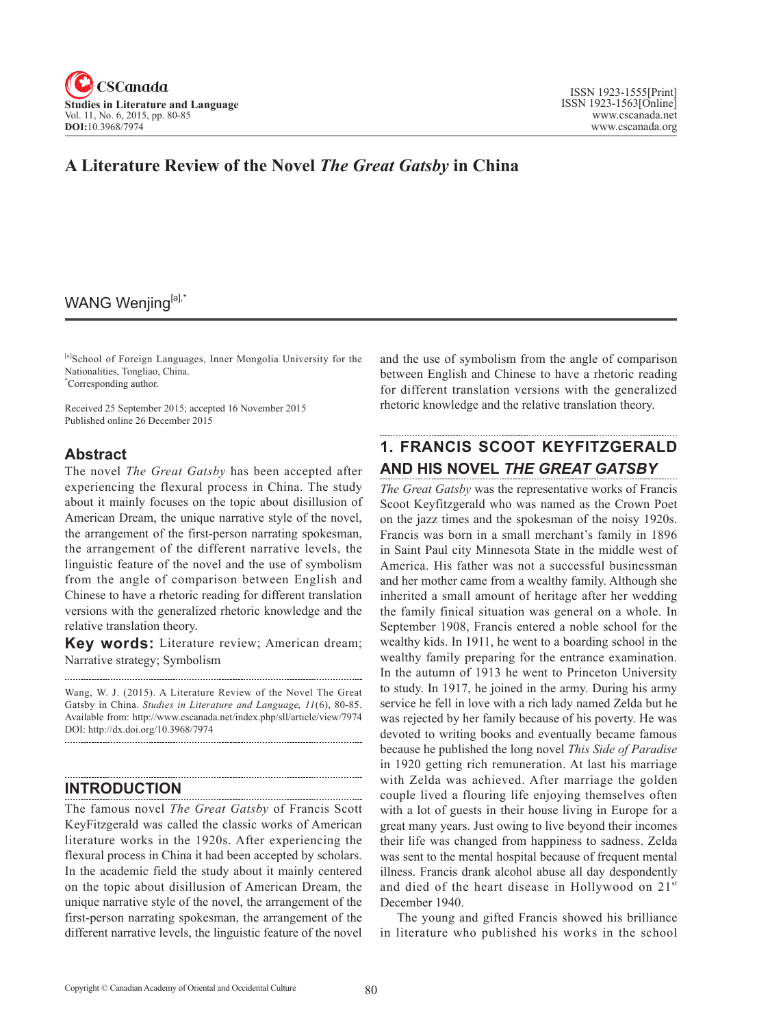

# **A Literature Review of the Novel** *The Great Gatsby* **in China**

## WANG Wenjing[a],\*

[a]School of Foreign Languages, Inner Mongolia University for the Nationalities, Tongliao, China. \* Corresponding author.

Received 25 September 2015; accepted 16 November 2015 Published online 26 December 2015

### **Abstract**

The novel *The Great Gatsby* has been accepted after experiencing the flexural process in China. The study about it mainly focuses on the topic about disillusion of American Dream, the unique narrative style of the novel, the arrangement of the first-person narrating spokesman, the arrangement of the different narrative levels, the linguistic feature of the novel and the use of symbolism from the angle of comparison between English and Chinese to have a rhetoric reading for different translation versions with the generalized rhetoric knowledge and the relative translation theory.

**Key words:** Literature review; American dream; Narrative strategy; Symbolism

Wang, W. J. (2015). A Literature Review of the Novel The Great Gatsby in China. *Studies in Literature and Language*, <sup>11</sup>(6), 80-85. Available from: http://www.cscanada.net/index.php/sll/article/view/7974 DOI: http://dx.doi.org/10.3968/7974

## **INTRODUCTION**

The famous novel *The Great Gatsby* of Francis Scott KeyFitzgerald was called the classic works of American literature works in the 1920s. After experiencing the flexural process in China it had been accepted by scholars. In the academic field the study about it mainly centered on the topic about disillusion of American Dream, the unique narrative style of the novel, the arrangement of the first-person narrating spokesman, the arrangement of the different narrative levels, the linguistic feature of the novel

and the use of symbolism from the angle of comparison between English and Chinese to have a rhetoric reading for different translation versions with the generalized rhetoric knowledge and the relative translation theory.

# **1. FRANCIS SCOOT KEYFITZGERALD AND HIS NOVEL** *THE GREAT GATSBY*

*The Great Gatsby* was the representative works of Francis Scoot Keyfitzgerald who was named as the Crown Poet on the jazz times and the spokesman of the noisy 1920s. Francis was born in a small merchant's family in 1896 in Saint Paul city Minnesota State in the middle west of America. His father was not a successful businessman and her mother came from a wealthy family. Although she inherited a small amount of heritage after her wedding the family finical situation was general on a whole. In September 1908, Francis entered a noble school for the wealthy kids. In 1911, he went to a boarding school in the wealthy family preparing for the entrance examination. In the autumn of 1913 he went to Princeton University to study. In 1917, he joined in the army. During his army service he fell in love with a rich lady named Zelda but he was rejected by her family because of his poverty. He was devoted to writing books and eventually became famous because he published the long novel *This Side of Paradise*  in 1920 getting rich remuneration. At last his marriage with Zelda was achieved. After marriage the golden couple lived a flouring life enjoying themselves often with a lot of guests in their house living in Europe for a great many years. Just owing to live beyond their incomes their life was changed from happiness to sadness. Zelda was sent to the mental hospital because of frequent mental illness. Francis drank alcohol abuse all day despondently and died of the heart disease in Hollywood on 21<sup>st</sup> December 1940.

The young and gifted Francis showed his brilliance in literature who published his works in the school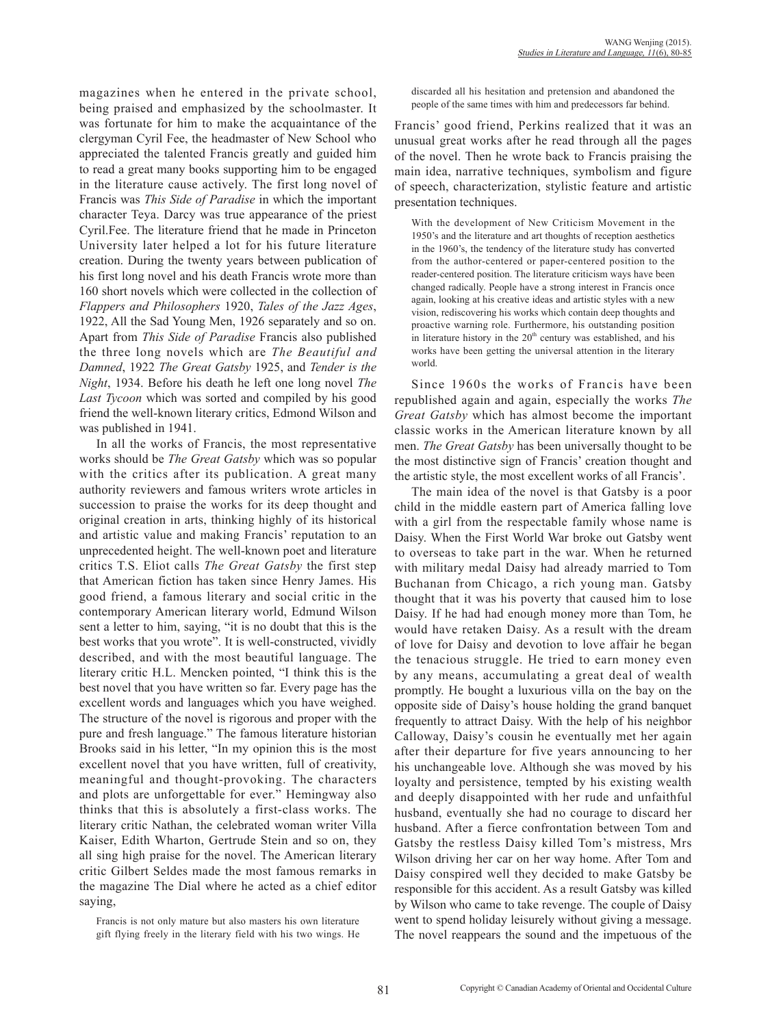magazines when he entered in the private school, being praised and emphasized by the schoolmaster. It was fortunate for him to make the acquaintance of the clergyman Cyril Fee, the headmaster of New School who appreciated the talented Francis greatly and guided him to read a great many books supporting him to be engaged in the literature cause actively. The first long novel of Francis was *This Side of Paradise* in which the important character Teya. Darcy was true appearance of the priest Cyril.Fee. The literature friend that he made in Princeton University later helped a lot for his future literature creation. During the twenty years between publication of his first long novel and his death Francis wrote more than 160 short novels which were collected in the collection of *Flappers and Philosophers* 1920, *Tales of the Jazz Ages*, 1922, All the Sad Young Men, 1926 separately and so on. Apart from *This Side of Paradise* Francis also published the three long novels which are *The Beautiful and Damned*, 1922 *The Great Gatsby* 1925, and *Tender is the Night*, 1934. Before his death he left one long novel *The Last Tycoon* which was sorted and compiled by his good friend the well-known literary critics, Edmond Wilson and was published in 1941.

In all the works of Francis, the most representative works should be *The Great Gatsby* which was so popular with the critics after its publication. A great many authority reviewers and famous writers wrote articles in succession to praise the works for its deep thought and original creation in arts, thinking highly of its historical and artistic value and making Francis' reputation to an unprecedented height. The well-known poet and literature critics T.S. Eliot calls *The Great Gatsby* the first step that American fiction has taken since Henry James. His good friend, a famous literary and social critic in the contemporary American literary world, Edmund Wilson sent a letter to him, saying, "it is no doubt that this is the best works that you wrote". It is well-constructed, vividly described, and with the most beautiful language. The literary critic H.L. Mencken pointed, "I think this is the best novel that you have written so far. Every page has the excellent words and languages which you have weighed. The structure of the novel is rigorous and proper with the pure and fresh language." The famous literature historian Brooks said in his letter, "In my opinion this is the most excellent novel that you have written, full of creativity, meaningful and thought-provoking. The characters and plots are unforgettable for ever." Hemingway also thinks that this is absolutely a first-class works. The literary critic Nathan, the celebrated woman writer Villa Kaiser, Edith Wharton, Gertrude Stein and so on, they all sing high praise for the novel. The American literary critic Gilbert Seldes made the most famous remarks in the magazine The Dial where he acted as a chief editor saying,

Francis is not only mature but also masters his own literature gift flying freely in the literary field with his two wings. He discarded all his hesitation and pretension and abandoned the people of the same times with him and predecessors far behind.

Francis' good friend, Perkins realized that it was an unusual great works after he read through all the pages of the novel. Then he wrote back to Francis praising the main idea, narrative techniques, symbolism and figure of speech, characterization, stylistic feature and artistic presentation techniques.

With the development of New Criticism Movement in the 1950's and the literature and art thoughts of reception aesthetics in the 1960's, the tendency of the literature study has converted from the author-centered or paper-centered position to the reader-centered position. The literature criticism ways have been changed radically. People have a strong interest in Francis once again, looking at his creative ideas and artistic styles with a new vision, rediscovering his works which contain deep thoughts and proactive warning role. Furthermore, his outstanding position in literature history in the  $20<sup>th</sup>$  century was established, and his works have been getting the universal attention in the literary world.

Since 1960s the works of Francis have been republished again and again, especially the works *The Great Gatsby* which has almost become the important classic works in the American literature known by all men. *The Great Gatsby* has been universally thought to be the most distinctive sign of Francis' creation thought and the artistic style, the most excellent works of all Francis'.

The main idea of the novel is that Gatsby is a poor child in the middle eastern part of America falling love with a girl from the respectable family whose name is Daisy. When the First World War broke out Gatsby went to overseas to take part in the war. When he returned with military medal Daisy had already married to Tom Buchanan from Chicago, a rich young man. Gatsby thought that it was his poverty that caused him to lose Daisy. If he had had enough money more than Tom, he would have retaken Daisy. As a result with the dream of love for Daisy and devotion to love affair he began the tenacious struggle. He tried to earn money even by any means, accumulating a great deal of wealth promptly. He bought a luxurious villa on the bay on the opposite side of Daisy's house holding the grand banquet frequently to attract Daisy. With the help of his neighbor Calloway, Daisy's cousin he eventually met her again after their departure for five years announcing to her his unchangeable love. Although she was moved by his loyalty and persistence, tempted by his existing wealth and deeply disappointed with her rude and unfaithful husband, eventually she had no courage to discard her husband. After a fierce confrontation between Tom and Gatsby the restless Daisy killed Tom's mistress, Mrs Wilson driving her car on her way home. After Tom and Daisy conspired well they decided to make Gatsby be responsible for this accident. As a result Gatsby was killed by Wilson who came to take revenge. The couple of Daisy went to spend holiday leisurely without giving a message. The novel reappears the sound and the impetuous of the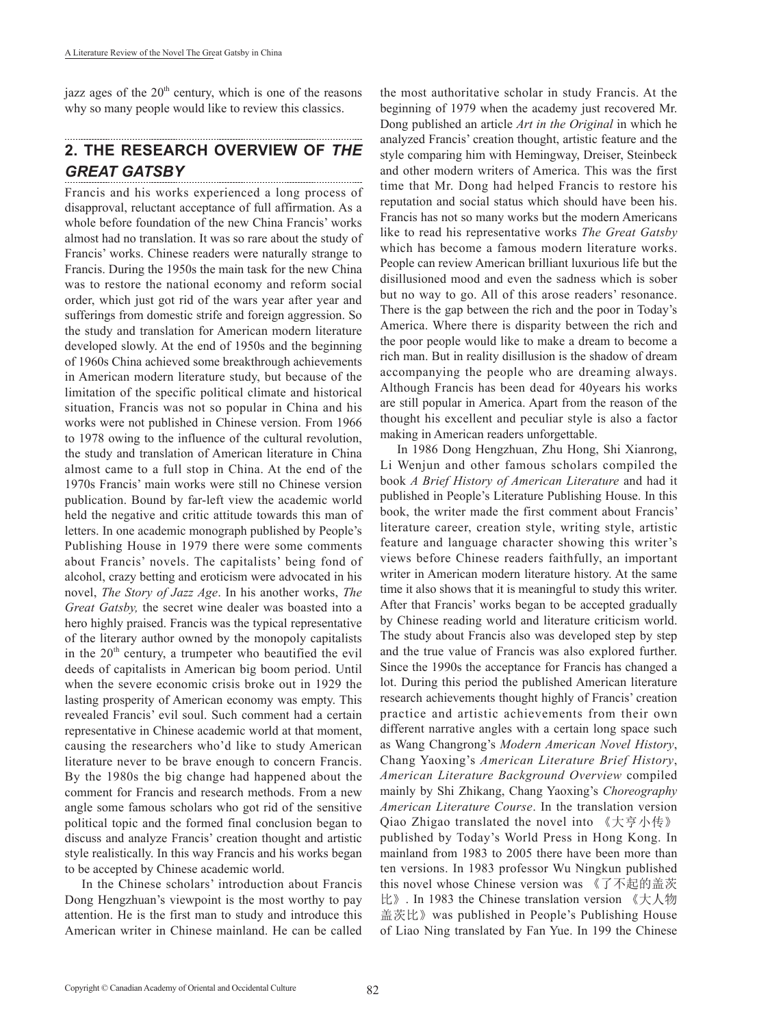jazz ages of the  $20<sup>th</sup>$  century, which is one of the reasons why so many people would like to review this classics.

#### **2. THE RESEARCH OVERVIEW OF** *THE GREAT GATSBY*

Francis and his works experienced a long process of disapproval, reluctant acceptance of full affirmation. As a whole before foundation of the new China Francis' works almost had no translation. It was so rare about the study of Francis' works. Chinese readers were naturally strange to Francis. During the 1950s the main task for the new China was to restore the national economy and reform social order, which just got rid of the wars year after year and sufferings from domestic strife and foreign aggression. So the study and translation for American modern literature developed slowly. At the end of 1950s and the beginning of 1960s China achieved some breakthrough achievements in American modern literature study, but because of the limitation of the specific political climate and historical situation, Francis was not so popular in China and his works were not published in Chinese version. From 1966 to 1978 owing to the influence of the cultural revolution, the study and translation of American literature in China almost came to a full stop in China. At the end of the 1970s Francis' main works were still no Chinese version publication. Bound by far-left view the academic world held the negative and critic attitude towards this man of letters. In one academic monograph published by People's Publishing House in 1979 there were some comments about Francis' novels. The capitalists' being fond of alcohol, crazy betting and eroticism were advocated in his novel, *The Story of Jazz Age*. In his another works, *The Great Gatsby,* the secret wine dealer was boasted into a hero highly praised. Francis was the typical representative of the literary author owned by the monopoly capitalists in the  $20<sup>th</sup>$  century, a trumpeter who beautified the evil deeds of capitalists in American big boom period. Until when the severe economic crisis broke out in 1929 the lasting prosperity of American economy was empty. This revealed Francis' evil soul. Such comment had a certain representative in Chinese academic world at that moment, causing the researchers who'd like to study American literature never to be brave enough to concern Francis. By the 1980s the big change had happened about the comment for Francis and research methods. From a new angle some famous scholars who got rid of the sensitive political topic and the formed final conclusion began to discuss and analyze Francis' creation thought and artistic style realistically. In this way Francis and his works began to be accepted by Chinese academic world.

In the Chinese scholars' introduction about Francis Dong Hengzhuan's viewpoint is the most worthy to pay attention. He is the first man to study and introduce this American writer in Chinese mainland. He can be called

the most authoritative scholar in study Francis. At the beginning of 1979 when the academy just recovered Mr. Dong published an article *Art in the Original* in which he analyzed Francis' creation thought, artistic feature and the style comparing him with Hemingway, Dreiser, Steinbeck and other modern writers of America. This was the first time that Mr. Dong had helped Francis to restore his reputation and social status which should have been his. Francis has not so many works but the modern Americans like to read his representative works *The Great Gatsby* which has become a famous modern literature works. People can review American brilliant luxurious life but the disillusioned mood and even the sadness which is sober but no way to go. All of this arose readers' resonance. There is the gap between the rich and the poor in Today's America. Where there is disparity between the rich and the poor people would like to make a dream to become a rich man. But in reality disillusion is the shadow of dream accompanying the people who are dreaming always. Although Francis has been dead for 40years his works are still popular in America. Apart from the reason of the thought his excellent and peculiar style is also a factor making in American readers unforgettable.

In 1986 Dong Hengzhuan, Zhu Hong, Shi Xianrong, Li Wenjun and other famous scholars compiled the book *A Brief History of American Literature* and had it published in People's Literature Publishing House. In this book, the writer made the first comment about Francis' literature career, creation style, writing style, artistic feature and language character showing this writer's views before Chinese readers faithfully, an important writer in American modern literature history. At the same time it also shows that it is meaningful to study this writer. After that Francis' works began to be accepted gradually by Chinese reading world and literature criticism world. The study about Francis also was developed step by step and the true value of Francis was also explored further. Since the 1990s the acceptance for Francis has changed a lot. During this period the published American literature research achievements thought highly of Francis' creation practice and artistic achievements from their own different narrative angles with a certain long space such as Wang Changrong's *Modern American Novel History*, Chang Yaoxing's *American Literature Brief History*, *American Literature Background Overview* compiled mainly by Shi Zhikang, Chang Yaoxing's *Choreography American Literature Course*. In the translation version Qiao Zhigao translated the novel into 《大亨小传》 published by Today's World Press in Hong Kong. In mainland from 1983 to 2005 there have been more than ten versions. In 1983 professor Wu Ningkun published this novel whose Chinese version was 《了不起的盖茨 比》. In 1983 the Chinese translation version 《大人物 盖茨比》was published in People's Publishing House of Liao Ning translated by Fan Yue. In 199 the Chinese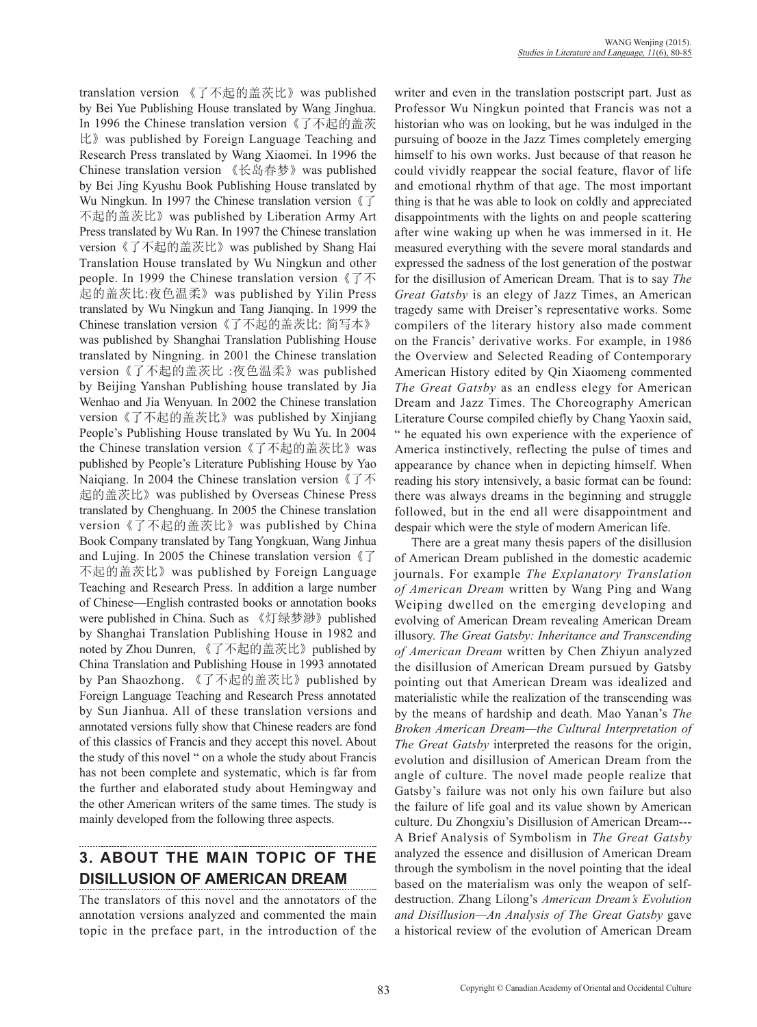translation version 《了不起的盖茨比》was published by Bei Yue Publishing House translated by Wang Jinghua. In 1996 the Chinese translation version《了不起的盖茨 比》was published by Foreign Language Teaching and Research Press translated by Wang Xiaomei. In 1996 the Chinese translation version 《长岛春梦》was published by Bei Jing Kyushu Book Publishing House translated by Wu Ningkun. In 1997 the Chinese translation version 《了 不起的盖茨比》was published by Liberation Army Art Press translated by Wu Ran. In 1997 the Chinese translation version《了不起的盖茨比》was published by Shang Hai Translation House translated by Wu Ningkun and other people. In 1999 the Chinese translation version《了不 起的盖茨比:夜色温柔》was published by Yilin Press translated by Wu Ningkun and Tang Jianqing. In 1999 the Chinese translation version《了不起的盖茨比: 简写本》 was published by Shanghai Translation Publishing House translated by Ningning. in 2001 the Chinese translation version《了不起的盖茨比 :夜色温柔》was published by Beijing Yanshan Publishing house translated by Jia Wenhao and Jia Wenyuan. In 2002 the Chinese translation version《了不起的盖茨比》was published by Xinjiang People's Publishing House translated by Wu Yu. In 2004 the Chinese translation version《了不起的盖茨比》was published by People's Literature Publishing House by Yao Naiqiang. In 2004 the Chinese translation version《了不 起的盖茨比》was published by Overseas Chinese Press translated by Chenghuang. In 2005 the Chinese translation version《了不起的盖茨比》was published by China Book Company translated by Tang Yongkuan, Wang Jinhua and Lujing. In 2005 the Chinese translation version《了 不起的盖茨比》was published by Foreign Language Teaching and Research Press. In addition a large number of Chinese—English contrasted books or annotation books were published in China. Such as 《灯绿梦渺》published by Shanghai Translation Publishing House in 1982 and noted by Zhou Dunren, 《了不起的盖茨比》published by China Translation and Publishing House in 1993 annotated by Pan Shaozhong. 《了不起的盖茨比》published by Foreign Language Teaching and Research Press annotated by Sun Jianhua. All of these translation versions and annotated versions fully show that Chinese readers are fond of this classics of Francis and they accept this novel. About the study of this novel " on a whole the study about Francis has not been complete and systematic, which is far from the further and elaborated study about Hemingway and the other American writers of the same times. The study is mainly developed from the following three aspects.

# **3. ABOUT THE MAIN TOPIC OF THE DISILLUSION OF AMERICAN DREAM**

The translators of this novel and the annotators of the annotation versions analyzed and commented the main topic in the preface part, in the introduction of the writer and even in the translation postscript part. Just as Professor Wu Ningkun pointed that Francis was not a historian who was on looking, but he was indulged in the pursuing of booze in the Jazz Times completely emerging himself to his own works. Just because of that reason he could vividly reappear the social feature, flavor of life and emotional rhythm of that age. The most important thing is that he was able to look on coldly and appreciated disappointments with the lights on and people scattering after wine waking up when he was immersed in it. He measured everything with the severe moral standards and expressed the sadness of the lost generation of the postwar for the disillusion of American Dream. That is to say *The Great Gatsby* is an elegy of Jazz Times, an American tragedy same with Dreiser's representative works. Some compilers of the literary history also made comment on the Francis' derivative works. For example, in 1986 the Overview and Selected Reading of Contemporary American History edited by Qin Xiaomeng commented *The Great Gatsby* as an endless elegy for American Dream and Jazz Times. The Choreography American Literature Course compiled chiefly by Chang Yaoxin said, " he equated his own experience with the experience of America instinctively, reflecting the pulse of times and appearance by chance when in depicting himself. When reading his story intensively, a basic format can be found: there was always dreams in the beginning and struggle followed, but in the end all were disappointment and despair which were the style of modern American life.

There are a great many thesis papers of the disillusion of American Dream published in the domestic academic journals. For example *The Explanatory Translation of American Dream* written by Wang Ping and Wang Weiping dwelled on the emerging developing and evolving of American Dream revealing American Dream illusory. *The Great Gatsby: Inheritance and Transcending of American Dream* written by Chen Zhiyun analyzed the disillusion of American Dream pursued by Gatsby pointing out that American Dream was idealized and materialistic while the realization of the transcending was by the means of hardship and death. Mao Yanan's *The Broken American Dream—the Cultural Interpretation of The Great Gatsby* interpreted the reasons for the origin, evolution and disillusion of American Dream from the angle of culture. The novel made people realize that Gatsby's failure was not only his own failure but also the failure of life goal and its value shown by American culture. Du Zhongxiu's Disillusion of American Dream--- A Brief Analysis of Symbolism in *The Great Gatsby* analyzed the essence and disillusion of American Dream through the symbolism in the novel pointing that the ideal based on the materialism was only the weapon of selfdestruction. Zhang Lilong's *American Dream's Evolution and Disillusion—An Analysis of The Great Gatsby* gave a historical review of the evolution of American Dream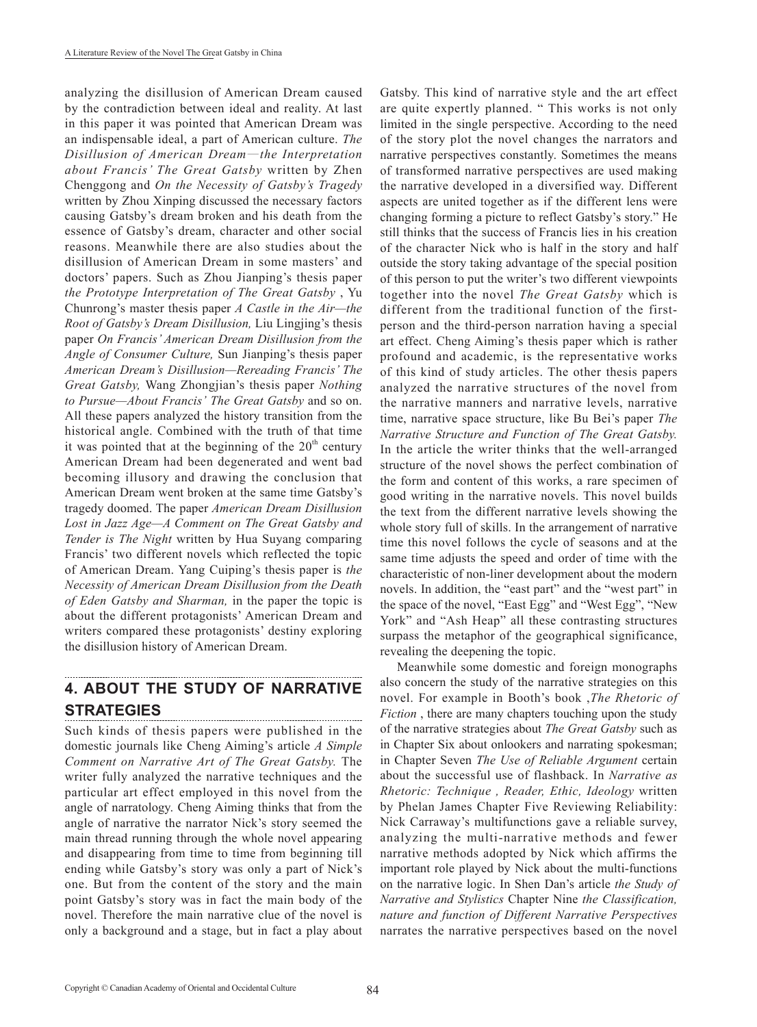analyzing the disillusion of American Dream caused by the contradiction between ideal and reality. At last in this paper it was pointed that American Dream was an indispensable ideal, a part of American culture. *The Disillusion of American Dream*—*the Interpretation about Francis' The Great Gatsby* written by Zhen Chenggong and *On the Necessity of Gatsby's Tragedy*  written by Zhou Xinping discussed the necessary factors causing Gatsby's dream broken and his death from the essence of Gatsby's dream, character and other social reasons. Meanwhile there are also studies about the disillusion of American Dream in some masters' and doctors' papers. Such as Zhou Jianping's thesis paper *the Prototype Interpretation of The Great Gatsby* , Yu Chunrong's master thesis paper *A Castle in the Air—the Root of Gatsby's Dream Disillusion,* Liu Lingjing's thesis paper *On Francis' American Dream Disillusion from the Angle of Consumer Culture,* Sun Jianping's thesis paper *American Dream's Disillusion—Rereading Francis' The Great Gatsby,* Wang Zhongjian's thesis paper *Nothing to Pursue—About Francis' The Great Gatsby* and so on. All these papers analyzed the history transition from the historical angle. Combined with the truth of that time it was pointed that at the beginning of the  $20<sup>th</sup>$  century American Dream had been degenerated and went bad becoming illusory and drawing the conclusion that American Dream went broken at the same time Gatsby's tragedy doomed. The paper *American Dream Disillusion Lost in Jazz Age—A Comment on The Great Gatsby and Tender is The Night* written by Hua Suyang comparing Francis' two different novels which reflected the topic of American Dream. Yang Cuiping's thesis paper is *the Necessity of American Dream Disillusion from the Death of Eden Gatsby and Sharman,* in the paper the topic is about the different protagonists' American Dream and writers compared these protagonists' destiny exploring the disillusion history of American Dream.

### **4. ABOUT THE STUDY OF NARRATIVE STRATEGIES**

Such kinds of thesis papers were published in the domestic journals like Cheng Aiming's article *A Simple Comment on Narrative Art of The Great Gatsby.* The writer fully analyzed the narrative techniques and the particular art effect employed in this novel from the angle of narratology. Cheng Aiming thinks that from the angle of narrative the narrator Nick's story seemed the main thread running through the whole novel appearing and disappearing from time to time from beginning till ending while Gatsby's story was only a part of Nick's one. But from the content of the story and the main point Gatsby's story was in fact the main body of the novel. Therefore the main narrative clue of the novel is only a background and a stage, but in fact a play about

Gatsby. This kind of narrative style and the art effect are quite expertly planned. " This works is not only limited in the single perspective. According to the need of the story plot the novel changes the narrators and narrative perspectives constantly. Sometimes the means of transformed narrative perspectives are used making the narrative developed in a diversified way. Different aspects are united together as if the different lens were changing forming a picture to reflect Gatsby's story." He still thinks that the success of Francis lies in his creation of the character Nick who is half in the story and half outside the story taking advantage of the special position of this person to put the writer's two different viewpoints together into the novel *The Great Gatsby* which is different from the traditional function of the firstperson and the third-person narration having a special art effect. Cheng Aiming's thesis paper which is rather profound and academic, is the representative works of this kind of study articles. The other thesis papers analyzed the narrative structures of the novel from the narrative manners and narrative levels, narrative time, narrative space structure, like Bu Bei's paper *The Narrative Structure and Function of The Great Gatsby.* In the article the writer thinks that the well-arranged structure of the novel shows the perfect combination of the form and content of this works, a rare specimen of good writing in the narrative novels. This novel builds the text from the different narrative levels showing the whole story full of skills. In the arrangement of narrative time this novel follows the cycle of seasons and at the same time adjusts the speed and order of time with the characteristic of non-liner development about the modern novels. In addition, the "east part" and the "west part" in the space of the novel, "East Egg" and "West Egg", "New York" and "Ash Heap" all these contrasting structures surpass the metaphor of the geographical significance, revealing the deepening the topic.

Meanwhile some domestic and foreign monographs also concern the study of the narrative strategies on this novel. For example in Booth's book ,*The Rhetoric of Fiction* , there are many chapters touching upon the study of the narrative strategies about *The Great Gatsby* such as in Chapter Six about onlookers and narrating spokesman; in Chapter Seven *The Use of Reliable Argument* certain about the successful use of flashback. In *Narrative as Rhetoric: Technique , Reader, Ethic, Ideology* written by Phelan James Chapter Five Reviewing Reliability: Nick Carraway's multifunctions gave a reliable survey, analyzing the multi-narrative methods and fewer narrative methods adopted by Nick which affirms the important role played by Nick about the multi-functions on the narrative logic. In Shen Dan's article *the Study of Narrative and Stylistics* Chapter Nine *the Classification, nature and function of Different Narrative Perspectives* narrates the narrative perspectives based on the novel